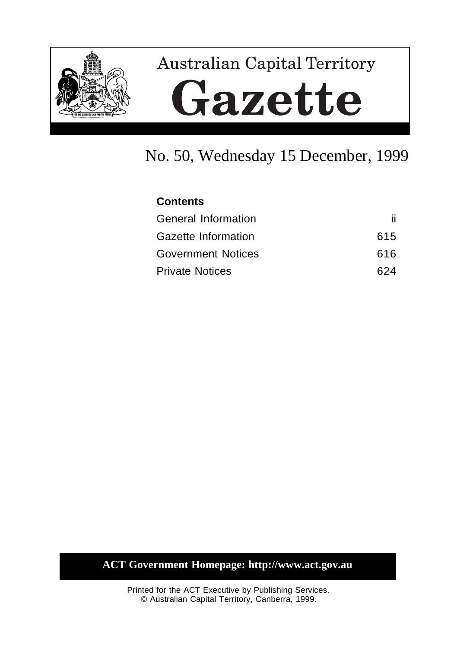

# **Australian Capital Territory** Gazette

# No. 50, Wednesday 15 December, 1999

| <b>Contents</b>            |     |
|----------------------------|-----|
| <b>General Information</b> | ii. |
| Gazette Information        | 615 |
| <b>Government Notices</b>  | 616 |
| <b>Private Notices</b>     | 624 |

# **ACT Government Homepage: http://www.act.gov.au**

Printed for the ACT Executive by Publishing Services. © Australian Capital Territory, Canberra, 1999.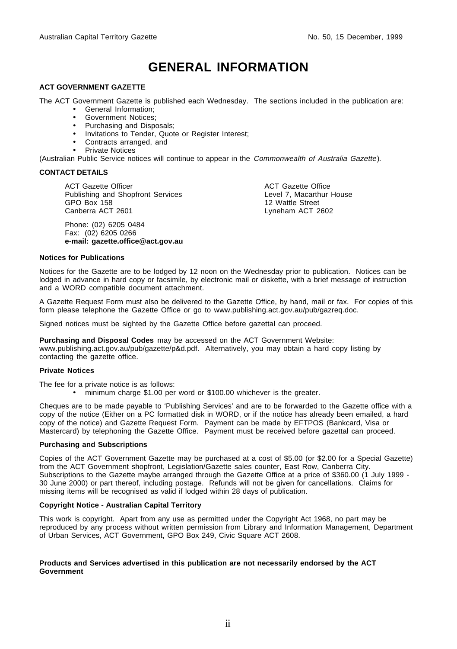# **GENERAL INFORMATION**

#### **ACT GOVERNMENT GAZETTE**

The ACT Government Gazette is published each Wednesday. The sections included in the publication are:

- General Information;
- Government Notices;
- Purchasing and Disposals;
- Invitations to Tender, Quote or Register Interest;
- Contracts arranged, and
- Private Notices

(Australian Public Service notices will continue to appear in the Commonwealth of Australia Gazette).

#### **CONTACT DETAILS**

ACT Gazette Officer Publishing and Shopfront Services GPO Box 158 Canberra ACT 2601

Phone: (02) 6205 0484 Fax: (02) 6205 0266 **e-mail: gazette.office@act.gov.au** ACT Gazette Office Level 7, Macarthur House 12 Wattle Street Lyneham ACT 2602

#### **Notices for Publications**

Notices for the Gazette are to be lodged by 12 noon on the Wednesday prior to publication. Notices can be lodged in advance in hard copy or facsimile, by electronic mail or diskette, with a brief message of instruction and a WORD compatible document attachment.

A Gazette Request Form must also be delivered to the Gazette Office, by hand, mail or fax. For copies of this form please telephone the Gazette Office or go to www.publishing.act.gov.au/pub/gazreq.doc.

Signed notices must be sighted by the Gazette Office before gazettal can proceed.

**Purchasing and Disposal Codes** may be accessed on the ACT Government Website: www.publishing.act.gov.au/pub/gazette/p&d.pdf. Alternatively, you may obtain a hard copy listing by contacting the gazette office.

#### **Private Notices**

The fee for a private notice is as follows:

• minimum charge \$1.00 per word or \$100.00 whichever is the greater.

Cheques are to be made payable to 'Publishing Services' and are to be forwarded to the Gazette office with a copy of the notice (Either on a PC formatted disk in WORD, or if the notice has already been emailed, a hard copy of the notice) and Gazette Request Form. Payment can be made by EFTPOS (Bankcard, Visa or Mastercard) by telephoning the Gazette Office. Payment must be received before gazettal can proceed.

#### **Purchasing and Subscriptions**

Copies of the ACT Government Gazette may be purchased at a cost of \$5.00 (or \$2.00 for a Special Gazette) from the ACT Government shopfront, Legislation/Gazette sales counter, East Row, Canberra City. Subscriptions to the Gazette maybe arranged through the Gazette Office at a price of \$360.00 (1 July 1999 -30 June 2000) or part thereof, including postage. Refunds will not be given for cancellations. Claims for missing items will be recognised as valid if lodged within 28 days of publication.

#### **Copyright Notice - Australian Capital Territory**

This work is copyright. Apart from any use as permitted under the Copyright Act 1968, no part may be reproduced by any process without written permission from Library and Information Management, Department of Urban Services, ACT Government, GPO Box 249, Civic Square ACT 2608.

#### **Products and Services advertised in this publication are not necessarily endorsed by the ACT Government**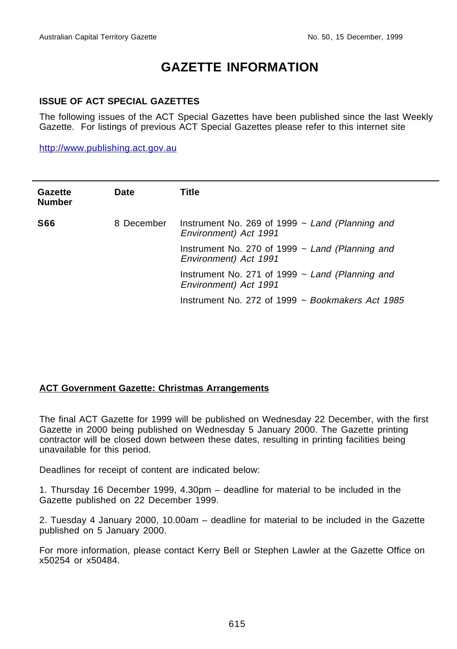# **GAZETTE INFORMATION**

#### **ISSUE OF ACT SPECIAL GAZETTES**

The following issues of the ACT Special Gazettes have been published since the last Weekly Gazette. For listings of previous ACT Special Gazettes please refer to this internet site

http://www.publishing.act.gov.au

| Gazette<br><b>Number</b> | Date       | Title                                                                         |
|--------------------------|------------|-------------------------------------------------------------------------------|
| <b>S66</b>               | 8 December | Instrument No. 269 of 1999 $\sim$ Land (Planning and<br>Environment) Act 1991 |
|                          |            | Instrument No. 270 of 1999 $\sim$ Land (Planning and<br>Environment) Act 1991 |
|                          |            | Instrument No. 271 of 1999 $\sim$ Land (Planning and<br>Environment) Act 1991 |
|                          |            | Instrument No. 272 of 1999 $\sim$ Bookmakers Act 1985                         |

#### **ACT Government Gazette: Christmas Arrangements**

The final ACT Gazette for 1999 will be published on Wednesday 22 December, with the first Gazette in 2000 being published on Wednesday 5 January 2000. The Gazette printing contractor will be closed down between these dates, resulting in printing facilities being unavailable for this period.

Deadlines for receipt of content are indicated below:

1. Thursday 16 December 1999, 4.30pm – deadline for material to be included in the Gazette published on 22 December 1999.

2. Tuesday 4 January 2000, 10.00am – deadline for material to be included in the Gazette published on 5 January 2000.

For more information, please contact Kerry Bell or Stephen Lawler at the Gazette Office on x50254 or x50484.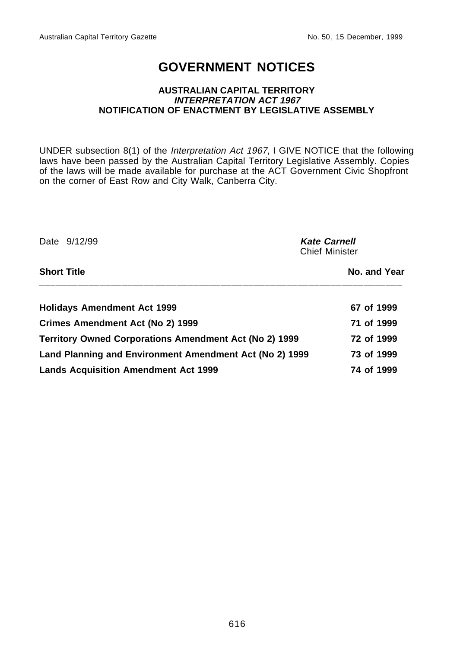# **GOVERNMENT NOTICES**

#### **AUSTRALIAN CAPITAL TERRITORY INTERPRETATION ACT 1967 NOTIFICATION OF ENACTMENT BY LEGISLATIVE ASSEMBLY**

UNDER subsection 8(1) of the Interpretation Act 1967, I GIVE NOTICE that the following laws have been passed by the Australian Capital Territory Legislative Assembly. Copies of the laws will be made available for purchase at the ACT Government Civic Shopfront on the corner of East Row and City Walk, Canberra City.

| Date 9/12/99                                                  | <b>Kate Carnell</b><br><b>Chief Minister</b> |  |
|---------------------------------------------------------------|----------------------------------------------|--|
| <b>Short Title</b>                                            | No. and Year                                 |  |
| <b>Holidays Amendment Act 1999</b>                            | 67 of 1999                                   |  |
| <b>Crimes Amendment Act (No 2) 1999</b>                       | 71 of 1999                                   |  |
| <b>Territory Owned Corporations Amendment Act (No 2) 1999</b> | 72 of 1999                                   |  |
| Land Planning and Environment Amendment Act (No 2) 1999       | 73 of 1999                                   |  |
| <b>Lands Acquisition Amendment Act 1999</b>                   | 74 of 1999                                   |  |

616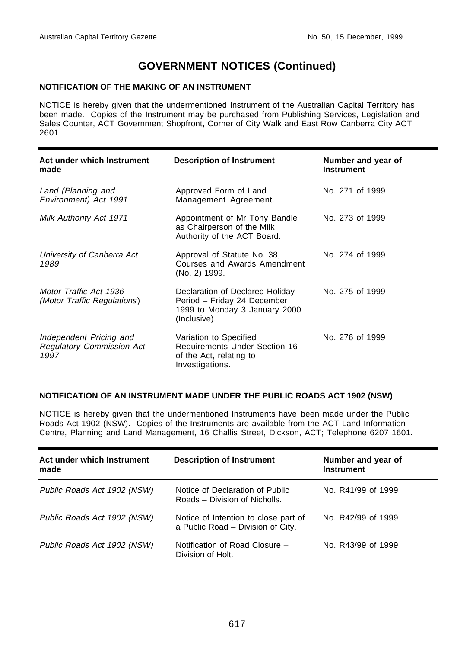#### **NOTIFICATION OF THE MAKING OF AN INSTRUMENT**

NOTICE is hereby given that the undermentioned Instrument of the Australian Capital Territory has been made. Copies of the Instrument may be purchased from Publishing Services, Legislation and Sales Counter, ACT Government Shopfront, Corner of City Walk and East Row Canberra City ACT 2601.

| Act under which Instrument<br>made                                  | <b>Description of Instrument</b>                                                                                | Number and year of<br><b>Instrument</b> |
|---------------------------------------------------------------------|-----------------------------------------------------------------------------------------------------------------|-----------------------------------------|
| Land (Planning and<br>Environment) Act 1991                         | Approved Form of Land<br>Management Agreement.                                                                  | No. 271 of 1999                         |
| Milk Authority Act 1971                                             | Appointment of Mr Tony Bandle<br>as Chairperson of the Milk<br>Authority of the ACT Board.                      | No. 273 of 1999                         |
| University of Canberra Act<br>1989                                  | Approval of Statute No. 38,<br>Courses and Awards Amendment<br>(No. 2) 1999.                                    | No. 274 of 1999                         |
| Motor Traffic Act 1936<br><i>(Motor Traffic Regulations)</i>        | Declaration of Declared Holiday<br>Period - Friday 24 December<br>1999 to Monday 3 January 2000<br>(Inclusive). | No. 275 of 1999                         |
| Independent Pricing and<br><b>Regulatory Commission Act</b><br>1997 | Variation to Specified<br><b>Requirements Under Section 16</b><br>of the Act, relating to<br>Investigations.    | No. 276 of 1999                         |

#### **NOTIFICATION OF AN INSTRUMENT MADE UNDER THE PUBLIC ROADS ACT 1902 (NSW)**

NOTICE is hereby given that the undermentioned Instruments have been made under the Public Roads Act 1902 (NSW). Copies of the Instruments are available from the ACT Land Information Centre, Planning and Land Management, 16 Challis Street, Dickson, ACT; Telephone 6207 1601.

| Act under which Instrument<br>made | <b>Description of Instrument</b>                                          | Number and year of<br><b>Instrument</b> |
|------------------------------------|---------------------------------------------------------------------------|-----------------------------------------|
| Public Roads Act 1902 (NSW)        | Notice of Declaration of Public<br>Roads - Division of Nicholls.          | No. R41/99 of 1999                      |
| Public Roads Act 1902 (NSW)        | Notice of Intention to close part of<br>a Public Road - Division of City. | No. R42/99 of 1999                      |
| Public Roads Act 1902 (NSW)        | Notification of Road Closure -<br>Division of Holt.                       | No. R43/99 of 1999                      |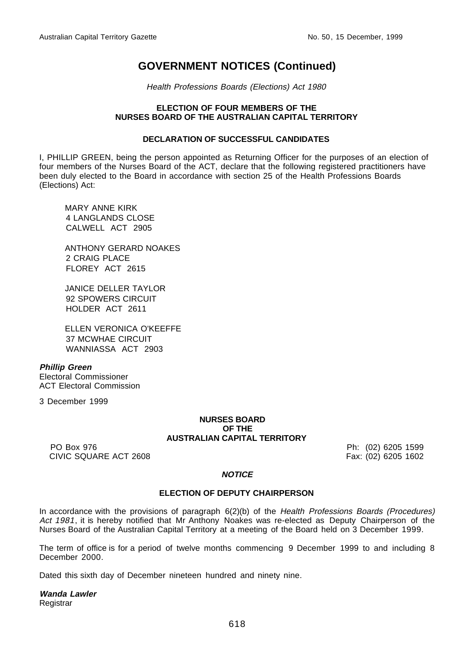Health Professions Boards (Elections) Act 1980

#### **ELECTION OF FOUR MEMBERS OF THE NURSES BOARD OF THE AUSTRALIAN CAPITAL TERRITORY**

#### **DECLARATION OF SUCCESSFUL CANDIDATES**

I, PHILLIP GREEN, being the person appointed as Returning Officer for the purposes of an election of four members of the Nurses Board of the ACT, declare that the following registered practitioners have been duly elected to the Board in accordance with section 25 of the Health Professions Boards (Elections) Act:

MARY ANNE KIRK 4 LANGLANDS CLOSE CALWELL ACT 2905

ANTHONY GERARD NOAKES 2 CRAIG PLACE FLOREY ACT 2615

JANICE DELLER TAYLOR 92 SPOWERS CIRCUIT HOLDER ACT 2611

ELLEN VERONICA O'KEEFFE 37 MCWHAE CIRCUIT WANNIASSA ACT 2903

**Phillip Green** Electoral Commissioner ACT Electoral Commission

3 December 1999

#### **NURSES BOARD OF THE AUSTRALIAN CAPITAL TERRITORY**

PO Box 976 **Ph:** (02) 6205 1599 CIVIC SQUARE ACT 2608 Fax: (02) 6205 1602

#### **NOTICE**

#### **ELECTION OF DEPUTY CHAIRPERSON**

In accordance with the provisions of paragraph 6(2)(b) of the Health Professions Boards (Procedures) Act 1981, it is hereby notified that Mr Anthony Noakes was re-elected as Deputy Chairperson of the Nurses Board of the Australian Capital Territory at a meeting of the Board held on 3 December 1999.

The term of office is for a period of twelve months commencing 9 December 1999 to and including 8 December 2000.

Dated this sixth day of December nineteen hundred and ninety nine.

**Wanda Lawler Registrar**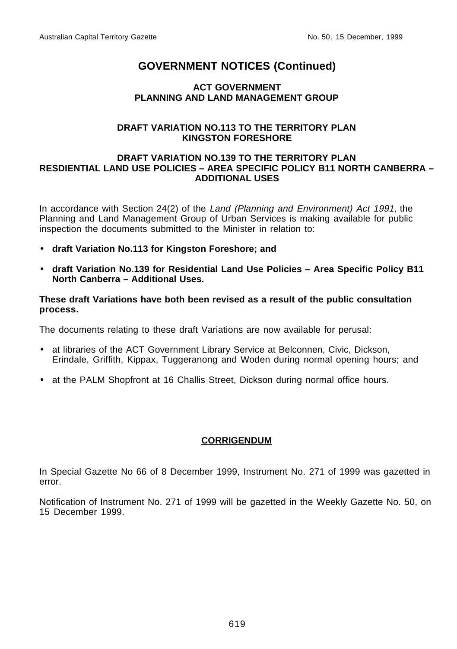#### **ACT GOVERNMENT PLANNING AND LAND MANAGEMENT GROUP**

#### **DRAFT VARIATION NO.113 TO THE TERRITORY PLAN KINGSTON FORESHORE**

#### **DRAFT VARIATION NO.139 TO THE TERRITORY PLAN RESDIENTIAL LAND USE POLICIES – AREA SPECIFIC POLICY B11 NORTH CANBERRA – ADDITIONAL USES**

In accordance with Section 24(2) of the Land (Planning and Environment) Act 1991, the Planning and Land Management Group of Urban Services is making available for public inspection the documents submitted to the Minister in relation to:

- **draft Variation No.113 for Kingston Foreshore; and**
- **draft Variation No.139 for Residential Land Use Policies Area Specific Policy B11 North Canberra – Additional Uses.**

#### **These draft Variations have both been revised as a result of the public consultation process.**

The documents relating to these draft Variations are now available for perusal:

- at libraries of the ACT Government Library Service at Belconnen, Civic, Dickson, Erindale, Griffith, Kippax, Tuggeranong and Woden during normal opening hours; and
- at the PALM Shopfront at 16 Challis Street, Dickson during normal office hours.

#### **CORRIGENDUM**

In Special Gazette No 66 of 8 December 1999, Instrument No. 271 of 1999 was gazetted in error.

Notification of Instrument No. 271 of 1999 will be gazetted in the Weekly Gazette No. 50, on 15 December 1999.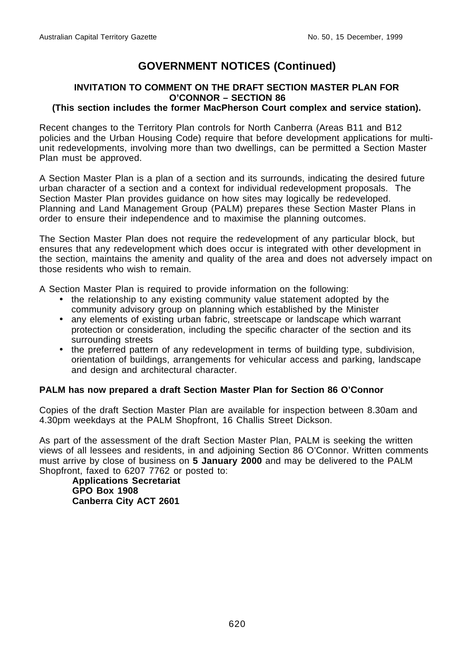## **INVITATION TO COMMENT ON THE DRAFT SECTION MASTER PLAN FOR O'CONNOR – SECTION 86**

#### **(This section includes the former MacPherson Court complex and service station).**

Recent changes to the Territory Plan controls for North Canberra (Areas B11 and B12 policies and the Urban Housing Code) require that before development applications for multiunit redevelopments, involving more than two dwellings, can be permitted a Section Master Plan must be approved.

A Section Master Plan is a plan of a section and its surrounds, indicating the desired future urban character of a section and a context for individual redevelopment proposals. The Section Master Plan provides guidance on how sites may logically be redeveloped. Planning and Land Management Group (PALM) prepares these Section Master Plans in order to ensure their independence and to maximise the planning outcomes.

The Section Master Plan does not require the redevelopment of any particular block, but ensures that any redevelopment which does occur is integrated with other development in the section, maintains the amenity and quality of the area and does not adversely impact on those residents who wish to remain.

A Section Master Plan is required to provide information on the following:

- the relationship to any existing community value statement adopted by the community advisory group on planning which established by the Minister
- any elements of existing urban fabric, streetscape or landscape which warrant protection or consideration, including the specific character of the section and its surrounding streets
- the preferred pattern of any redevelopment in terms of building type, subdivision, orientation of buildings, arrangements for vehicular access and parking, landscape and design and architectural character.

#### **PALM has now prepared a draft Section Master Plan for Section 86 O'Connor**

Copies of the draft Section Master Plan are available for inspection between 8.30am and 4.30pm weekdays at the PALM Shopfront, 16 Challis Street Dickson.

As part of the assessment of the draft Section Master Plan, PALM is seeking the written views of all lessees and residents, in and adjoining Section 86 O'Connor. Written comments must arrive by close of business on **5 January 2000** and may be delivered to the PALM Shopfront, faxed to 6207 7762 or posted to:

**Applications Secretariat GPO Box 1908 Canberra City ACT 2601**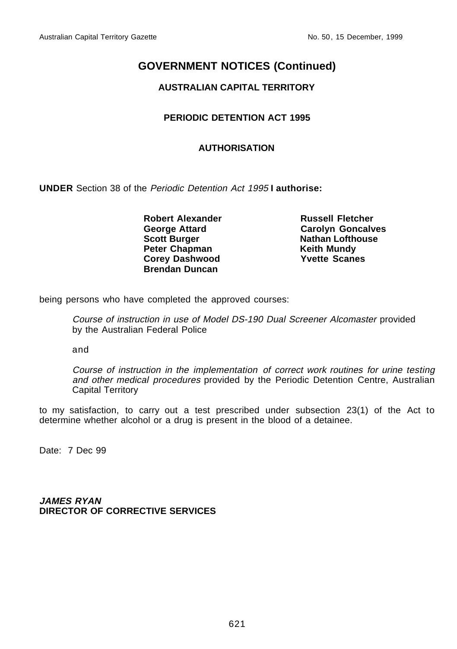## **AUSTRALIAN CAPITAL TERRITORY**

## **PERIODIC DETENTION ACT 1995**

#### **AUTHORISATION**

**UNDER** Section 38 of the Periodic Detention Act 1995 **I authorise:**

**Robert Alexander Russell Fletcher Scott Burger Nathan Lofthouse Peter Chapman Keith Mundy<br>
Corey Dashwood Corew Yvette Scanes Corey Dashwood Brendan Duncan**

**Carolyn Goncalves** 

being persons who have completed the approved courses:

Course of instruction in use of Model DS-190 Dual Screener Alcomaster provided by the Australian Federal Police

and

Course of instruction in the implementation of correct work routines for urine testing and other medical procedures provided by the Periodic Detention Centre, Australian Capital Territory

to my satisfaction, to carry out a test prescribed under subsection 23(1) of the Act to determine whether alcohol or a drug is present in the blood of a detainee.

Date: 7 Dec 99

**JAMES RYAN DIRECTOR OF CORRECTIVE SERVICES**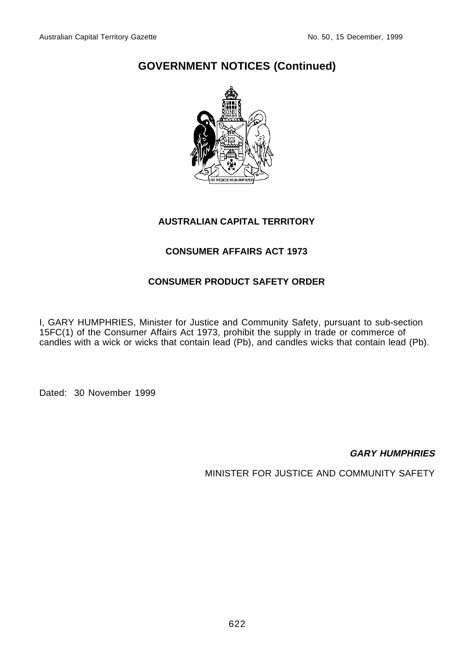

## **AUSTRALIAN CAPITAL TERRITORY**

## **CONSUMER AFFAIRS ACT 1973**

## **CONSUMER PRODUCT SAFETY ORDER**

I, GARY HUMPHRIES, Minister for Justice and Community Safety, pursuant to sub-section 15FC(1) of the Consumer Affairs Act 1973, prohibit the supply in trade or commerce of candles with a wick or wicks that contain lead (Pb), and candles wicks that contain lead (Pb).

Dated: 30 November 1999

**GARY HUMPHRIES**

MINISTER FOR JUSTICE AND COMMUNITY SAFETY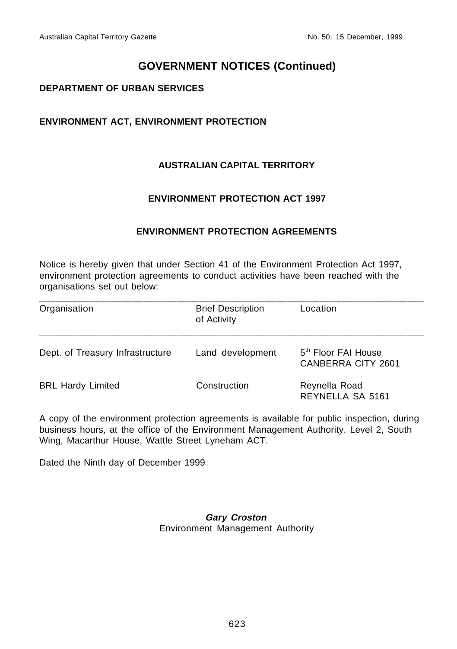#### **DEPARTMENT OF URBAN SERVICES**

## **ENVIRONMENT ACT, ENVIRONMENT PROTECTION**

## **AUSTRALIAN CAPITAL TERRITORY**

#### **ENVIRONMENT PROTECTION ACT 1997**

#### **ENVIRONMENT PROTECTION AGREEMENTS**

Notice is hereby given that under Section 41 of the Environment Protection Act 1997, environment protection agreements to conduct activities have been reached with the organisations set out below:

| Organisation                     | <b>Brief Description</b><br>of Activity | Location                                              |
|----------------------------------|-----------------------------------------|-------------------------------------------------------|
| Dept. of Treasury Infrastructure | Land development                        | 5 <sup>th</sup> Floor FAI House<br>CANBERRA CITY 2601 |
| <b>BRL Hardy Limited</b>         | Construction                            | Reynella Road<br>REYNELLA SA 5161                     |

A copy of the environment protection agreements is available for public inspection, during business hours, at the office of the Environment Management Authority, Level 2, South Wing, Macarthur House, Wattle Street Lyneham ACT.

Dated the Ninth day of December 1999

#### **Gary Croston** Environment Management Authority